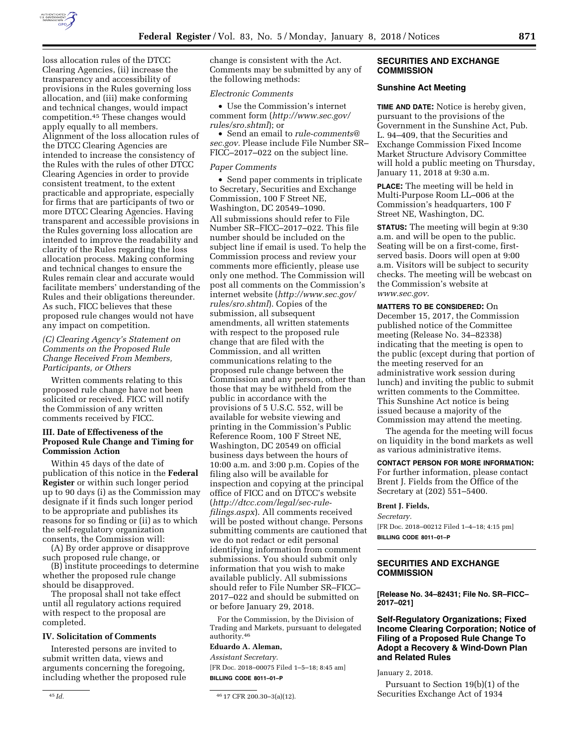

change is consistent with the Act. Comments may be submitted by any of

• Use the Commission's internet comment form (*[http://www.sec.gov/](http://www.sec.gov/rules/sro.shtml)* 

• Send an email to *[rule-comments@](mailto:rule-comments@sec.gov) [sec.gov.](mailto:rule-comments@sec.gov)* Please include File Number SR– FICC–2017–022 on the subject line.

• Send paper comments in triplicate to Secretary, Securities and Exchange Commission, 100 F Street NE, Washington, DC 20549–1090. All submissions should refer to File Number SR–FICC–2017–022. This file number should be included on the subject line if email is used. To help the Commission process and review your comments more efficiently, please use only one method. The Commission will post all comments on the Commission's internet website (*[http://www.sec.gov/](http://www.sec.gov/rules/sro.shtml)  [rules/sro.shtml](http://www.sec.gov/rules/sro.shtml)*). Copies of the submission, all subsequent

amendments, all written statements with respect to the proposed rule change that are filed with the Commission, and all written communications relating to the proposed rule change between the Commission and any person, other than those that may be withheld from the public in accordance with the provisions of 5 U.S.C. 552, will be available for website viewing and printing in the Commission's Public

the following methods: *Electronic Comments* 

*[rules/sro.shtml](http://www.sec.gov/rules/sro.shtml)*); or

*Paper Comments* 

loss allocation rules of the DTCC Clearing Agencies, (ii) increase the transparency and accessibility of provisions in the Rules governing loss allocation, and (iii) make conforming and technical changes, would impact competition.45 These changes would apply equally to all members. Alignment of the loss allocation rules of the DTCC Clearing Agencies are intended to increase the consistency of the Rules with the rules of other DTCC Clearing Agencies in order to provide consistent treatment, to the extent practicable and appropriate, especially for firms that are participants of two or more DTCC Clearing Agencies. Having transparent and accessible provisions in the Rules governing loss allocation are intended to improve the readability and clarity of the Rules regarding the loss allocation process. Making conforming and technical changes to ensure the Rules remain clear and accurate would facilitate members' understanding of the Rules and their obligations thereunder. As such, FICC believes that these proposed rule changes would not have any impact on competition.

# *(C) Clearing Agency's Statement on Comments on the Proposed Rule Change Received From Members, Participants, or Others*

Written comments relating to this proposed rule change have not been solicited or received. FICC will notify the Commission of any written comments received by FICC.

### **III. Date of Effectiveness of the Proposed Rule Change and Timing for Commission Action**

Within 45 days of the date of publication of this notice in the **Federal Register** or within such longer period up to 90 days (i) as the Commission may designate if it finds such longer period to be appropriate and publishes its reasons for so finding or (ii) as to which the self-regulatory organization consents, the Commission will:

(A) By order approve or disapprove such proposed rule change, or

(B) institute proceedings to determine whether the proposed rule change should be disapproved.

The proposal shall not take effect until all regulatory actions required with respect to the proposal are completed.

#### **IV. Solicitation of Comments**

Interested persons are invited to submit written data, views and arguments concerning the foregoing, including whether the proposed rule

Reference Room, 100 F Street NE, Washington, DC 20549 on official business days between the hours of 10:00 a.m. and 3:00 p.m. Copies of the filing also will be available for inspection and copying at the principal office of FICC and on DTCC's website (*[http://dtcc.com/legal/sec-rule](http://dtcc.com/legal/sec-rule-filings.aspx)[filings.aspx](http://dtcc.com/legal/sec-rule-filings.aspx)*). All comments received will be posted without change. Persons submitting comments are cautioned that we do not redact or edit personal identifying information from comment submissions. You should submit only information that you wish to make available publicly. All submissions should refer to File Number SR–FICC– 2017–022 and should be submitted on or before January 29, 2018.

For the Commission, by the Division of Trading and Markets, pursuant to delegated authority.46

## **Eduardo A. Aleman,**

*Assistant Secretary.*  [FR Doc. 2018–00075 Filed 1–5–18; 8:45 am] **BILLING CODE 8011–01–P** 

## **SECURITIES AND EXCHANGE COMMISSION**

# **Sunshine Act Meeting**

**TIME AND DATE:** Notice is hereby given, pursuant to the provisions of the Government in the Sunshine Act, Pub. L. 94–409, that the Securities and Exchange Commission Fixed Income Market Structure Advisory Committee will hold a public meeting on Thursday, January 11, 2018 at 9:30 a.m.

**PLACE:** The meeting will be held in Multi-Purpose Room LL–006 at the Commission's headquarters, 100 F Street NE, Washington, DC.

**STATUS:** The meeting will begin at 9:30 a.m. and will be open to the public. Seating will be on a first-come, firstserved basis. Doors will open at 9:00 a.m. Visitors will be subject to security checks. The meeting will be webcast on the Commission's website at *[www.sec.gov.](http://www.sec.gov)* 

**MATTERS TO BE CONSIDERED:** On December 15, 2017, the Commission published notice of the Committee meeting (Release No. 34–82338) indicating that the meeting is open to the public (except during that portion of the meeting reserved for an administrative work session during lunch) and inviting the public to submit written comments to the Committee. This Sunshine Act notice is being issued because a majority of the Commission may attend the meeting.

The agenda for the meeting will focus on liquidity in the bond markets as well as various administrative items.

**CONTACT PERSON FOR MORE INFORMATION:**  For further information, please contact Brent J. Fields from the Office of the Secretary at (202) 551–5400.

#### **Brent J. Fields,**

*Secretary.*  [FR Doc. 2018–00212 Filed 1–4–18; 4:15 pm] **BILLING CODE 8011–01–P** 

# **SECURITIES AND EXCHANGE COMMISSION**

**[Release No. 34–82431; File No. SR–FICC– 2017–021]** 

## **Self-Regulatory Organizations; Fixed Income Clearing Corporation; Notice of Filing of a Proposed Rule Change To Adopt a Recovery & Wind-Down Plan and Related Rules**

January 2, 2018.

Pursuant to Section 19(b)(1) of the Securities Exchange Act of 1934

<sup>45</sup> *Id.* 46 17 CFR 200.30–3(a)(12).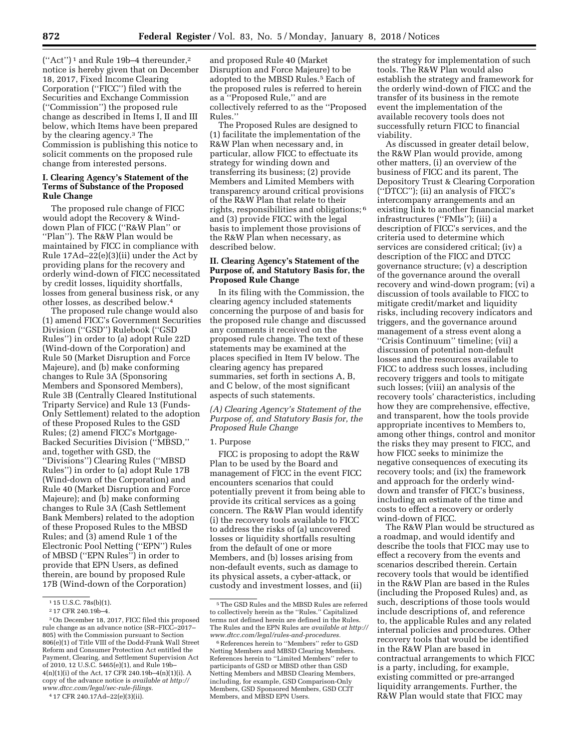$("Act")^1$  and Rule 19b-4 thereunder,<sup>2</sup> notice is hereby given that on December 18, 2017, Fixed Income Clearing Corporation (''FICC'') filed with the Securities and Exchange Commission (''Commission'') the proposed rule change as described in Items I, II and III below, which Items have been prepared by the clearing agency.3 The Commission is publishing this notice to solicit comments on the proposed rule change from interested persons.

## **I. Clearing Agency's Statement of the Terms of Substance of the Proposed Rule Change**

The proposed rule change of FICC would adopt the Recovery & Winddown Plan of FICC (''R&W Plan'' or ''Plan''). The R&W Plan would be maintained by FICC in compliance with Rule 17Ad–22(e)(3)(ii) under the Act by providing plans for the recovery and orderly wind-down of FICC necessitated by credit losses, liquidity shortfalls, losses from general business risk, or any other losses, as described below.4

The proposed rule change would also (1) amend FICC's Government Securities Division (''GSD'') Rulebook (''GSD Rules'') in order to (a) adopt Rule 22D (Wind-down of the Corporation) and Rule 50 (Market Disruption and Force Majeure), and (b) make conforming changes to Rule 3A (Sponsoring Members and Sponsored Members), Rule 3B (Centrally Cleared Institutional Triparty Service) and Rule 13 (Funds-Only Settlement) related to the adoption of these Proposed Rules to the GSD Rules; (2) amend FICC's Mortgage-Backed Securities Division (''MBSD,'' and, together with GSD, the ''Divisions'') Clearing Rules (''MBSD Rules'') in order to (a) adopt Rule 17B (Wind-down of the Corporation) and Rule 40 (Market Disruption and Force Majeure); and (b) make conforming changes to Rule 3A (Cash Settlement Bank Members) related to the adoption of these Proposed Rules to the MBSD Rules; and (3) amend Rule 1 of the Electronic Pool Netting (''EPN'') Rules of MBSD (''EPN Rules'') in order to provide that EPN Users, as defined therein, are bound by proposed Rule 17B (Wind-down of the Corporation)

and proposed Rule 40 (Market Disruption and Force Majeure) to be adopted to the MBSD Rules.<sup>5</sup> Each of the proposed rules is referred to herein as a ''Proposed Rule,'' and are collectively referred to as the ''Proposed Rules.''

The Proposed Rules are designed to (1) facilitate the implementation of the R&W Plan when necessary and, in particular, allow FICC to effectuate its strategy for winding down and transferring its business; (2) provide Members and Limited Members with transparency around critical provisions of the R&W Plan that relate to their rights, responsibilities and obligations; 6 and (3) provide FICC with the legal basis to implement those provisions of the R&W Plan when necessary, as described below.

## **II. Clearing Agency's Statement of the Purpose of, and Statutory Basis for, the Proposed Rule Change**

In its filing with the Commission, the clearing agency included statements concerning the purpose of and basis for the proposed rule change and discussed any comments it received on the proposed rule change. The text of these statements may be examined at the places specified in Item IV below. The clearing agency has prepared summaries, set forth in sections A, B, and C below, of the most significant aspects of such statements.

## *(A) Clearing Agency's Statement of the Purpose of, and Statutory Basis for, the Proposed Rule Change*

### 1. Purpose

FICC is proposing to adopt the R&W Plan to be used by the Board and management of FICC in the event FICC encounters scenarios that could potentially prevent it from being able to provide its critical services as a going concern. The R&W Plan would identify (i) the recovery tools available to FICC to address the risks of (a) uncovered losses or liquidity shortfalls resulting from the default of one or more Members, and (b) losses arising from non-default events, such as damage to its physical assets, a cyber-attack, or custody and investment losses, and (ii)

the strategy for implementation of such tools. The R&W Plan would also establish the strategy and framework for the orderly wind-down of FICC and the transfer of its business in the remote event the implementation of the available recovery tools does not successfully return FICC to financial viability.

As discussed in greater detail below, the R&W Plan would provide, among other matters, (i) an overview of the business of FICC and its parent, The Depository Trust & Clearing Corporation (''DTCC''); (ii) an analysis of FICC's intercompany arrangements and an existing link to another financial market infrastructures (''FMIs''); (iii) a description of FICC's services, and the criteria used to determine which services are considered critical; (iv) a description of the FICC and DTCC governance structure; (v) a description of the governance around the overall recovery and wind-down program; (vi) a discussion of tools available to FICC to mitigate credit/market and liquidity risks, including recovery indicators and triggers, and the governance around management of a stress event along a ''Crisis Continuum'' timeline; (vii) a discussion of potential non-default losses and the resources available to FICC to address such losses, including recovery triggers and tools to mitigate such losses; (viii) an analysis of the recovery tools' characteristics, including how they are comprehensive, effective, and transparent, how the tools provide appropriate incentives to Members to, among other things, control and monitor the risks they may present to FICC, and how FICC seeks to minimize the negative consequences of executing its recovery tools; and (ix) the framework and approach for the orderly winddown and transfer of FICC's business, including an estimate of the time and costs to effect a recovery or orderly wind-down of FICC.

The R&W Plan would be structured as a roadmap, and would identify and describe the tools that FICC may use to effect a recovery from the events and scenarios described therein. Certain recovery tools that would be identified in the R&W Plan are based in the Rules (including the Proposed Rules) and, as such, descriptions of those tools would include descriptions of, and reference to, the applicable Rules and any related internal policies and procedures. Other recovery tools that would be identified in the R&W Plan are based in contractual arrangements to which FICC is a party, including, for example, existing committed or pre-arranged liquidity arrangements. Further, the R&W Plan would state that FICC may

<sup>1</sup> 15 U.S.C. 78s(b)(1).

<sup>2</sup> 17 CFR 240.19b–4.

<sup>3</sup>On December 18, 2017, FICC filed this proposed rule change as an advance notice (SR–FICC–2017– 805) with the Commission pursuant to Section 806(e)(1) of Title VIII of the Dodd-Frank Wall Street Reform and Consumer Protection Act entitled the Payment, Clearing, and Settlement Supervision Act of 2010, 12 U.S.C. 5465(e)(1), and Rule 19b– 4(n)(1)(i) of the Act, 17 CFR 240.19b–4(n)(1)(i). A copy of the advance notice is *available at [http://](http://www.dtcc.com/legal/sec-rule-filings) [www.dtcc.com/legal/sec-rule-filings.](http://www.dtcc.com/legal/sec-rule-filings)* 

<sup>4</sup> 17 CFR 240.17Ad–22(e)(3)(ii).

<sup>5</sup>The GSD Rules and the MBSD Rules are referred to collectively herein as the ''Rules.'' Capitalized terms not defined herein are defined in the Rules. The Rules and the EPN Rules are *available at [http://](http://www.dtcc.com/legal/rules-and-procedures)  [www.dtcc.com/legal/rules-and-procedures.](http://www.dtcc.com/legal/rules-and-procedures)* 

<sup>6</sup>References herein to ''Members'' refer to GSD Netting Members and MBSD Clearing Members. References herein to ''Limited Members'' refer to participants of GSD or MBSD other than GSD Netting Members and MBSD Clearing Members, including, for example, GSD Comparison-Only Members, GSD Sponsored Members, GSD CCIT Members, and MBSD EPN Users.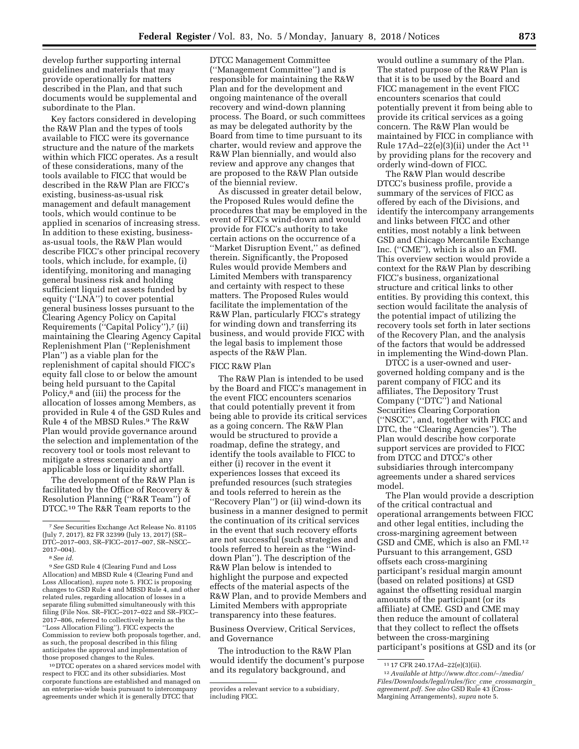develop further supporting internal guidelines and materials that may provide operationally for matters described in the Plan, and that such documents would be supplemental and subordinate to the Plan.

Key factors considered in developing the R&W Plan and the types of tools available to FICC were its governance structure and the nature of the markets within which FICC operates. As a result of these considerations, many of the tools available to FICC that would be described in the R&W Plan are FICC's existing, business-as-usual risk management and default management tools, which would continue to be applied in scenarios of increasing stress. In addition to these existing, businessas-usual tools, the R&W Plan would describe FICC's other principal recovery tools, which include, for example, (i) identifying, monitoring and managing general business risk and holding sufficient liquid net assets funded by equity (''LNA'') to cover potential general business losses pursuant to the Clearing Agency Policy on Capital Requirements ("Capital Policy"),7 (ii) maintaining the Clearing Agency Capital Replenishment Plan (''Replenishment Plan'') as a viable plan for the replenishment of capital should FICC's equity fall close to or below the amount being held pursuant to the Capital Policy,<sup>8</sup> and (iii) the process for the allocation of losses among Members, as provided in Rule 4 of the GSD Rules and Rule 4 of the MBSD Rules.9 The R&W Plan would provide governance around the selection and implementation of the recovery tool or tools most relevant to mitigate a stress scenario and any applicable loss or liquidity shortfall.

The development of the R&W Plan is facilitated by the Office of Recovery & Resolution Planning (''R&R Team'') of DTCC.10 The R&R Team reports to the

10 DTCC operates on a shared services model with respect to FICC and its other subsidiaries. Most corporate functions are established and managed on an enterprise-wide basis pursuant to intercompany agreements under which it is generally DTCC that

DTCC Management Committee (''Management Committee'') and is responsible for maintaining the R&W Plan and for the development and ongoing maintenance of the overall recovery and wind-down planning process. The Board, or such committees as may be delegated authority by the Board from time to time pursuant to its charter, would review and approve the R&W Plan biennially, and would also review and approve any changes that are proposed to the R&W Plan outside of the biennial review.

As discussed in greater detail below, the Proposed Rules would define the procedures that may be employed in the event of FICC's wind-down and would provide for FICC's authority to take certain actions on the occurrence of a ''Market Disruption Event,'' as defined therein. Significantly, the Proposed Rules would provide Members and Limited Members with transparency and certainty with respect to these matters. The Proposed Rules would facilitate the implementation of the R&W Plan, particularly FICC's strategy for winding down and transferring its business, and would provide FICC with the legal basis to implement those aspects of the R&W Plan.

#### FICC R&W Plan

The R&W Plan is intended to be used by the Board and FICC's management in the event FICC encounters scenarios that could potentially prevent it from being able to provide its critical services as a going concern. The R&W Plan would be structured to provide a roadmap, define the strategy, and identify the tools available to FICC to either (i) recover in the event it experiences losses that exceed its prefunded resources (such strategies and tools referred to herein as the ''Recovery Plan'') or (ii) wind-down its business in a manner designed to permit the continuation of its critical services in the event that such recovery efforts are not successful (such strategies and tools referred to herein as the ''Winddown Plan''). The description of the R&W Plan below is intended to highlight the purpose and expected effects of the material aspects of the R&W Plan, and to provide Members and Limited Members with appropriate transparency into these features.

Business Overview, Critical Services, and Governance

The introduction to the R&W Plan would identify the document's purpose and its regulatory background, and

would outline a summary of the Plan. The stated purpose of the R&W Plan is that it is to be used by the Board and FICC management in the event FICC encounters scenarios that could potentially prevent it from being able to provide its critical services as a going concern. The R&W Plan would be maintained by FICC in compliance with Rule 17Ad–22(e)(3)(ii) under the Act 11 by providing plans for the recovery and orderly wind-down of FICC.

The R&W Plan would describe DTCC's business profile, provide a summary of the services of FICC as offered by each of the Divisions, and identify the intercompany arrangements and links between FICC and other entities, most notably a link between GSD and Chicago Mercantile Exchange Inc. (''CME''), which is also an FMI. This overview section would provide a context for the R&W Plan by describing FICC's business, organizational structure and critical links to other entities. By providing this context, this section would facilitate the analysis of the potential impact of utilizing the recovery tools set forth in later sections of the Recovery Plan, and the analysis of the factors that would be addressed in implementing the Wind-down Plan.

DTCC is a user-owned and usergoverned holding company and is the parent company of FICC and its affiliates, The Depository Trust Company (''DTC'') and National Securities Clearing Corporation (''NSCC'', and, together with FICC and DTC, the ''Clearing Agencies''). The Plan would describe how corporate support services are provided to FICC from DTCC and DTCC's other subsidiaries through intercompany agreements under a shared services model.

The Plan would provide a description of the critical contractual and operational arrangements between FICC and other legal entities, including the cross-margining agreement between GSD and CME, which is also an FMI.12 Pursuant to this arrangement, GSD offsets each cross-margining participant's residual margin amount (based on related positions) at GSD against the offsetting residual margin amounts of the participant (or its affiliate) at CME. GSD and CME may then reduce the amount of collateral that they collect to reflect the offsets between the cross-margining participant's positions at GSD and its (or

<sup>7</sup>*See* Securities Exchange Act Release No. 81105 (July 7, 2017), 82 FR 32399 (July 13, 2017) (SR– DTC–2017–003, SR–FICC–2017–007, SR–NSCC– 2017–004).

<sup>8</sup>*See id.* 

<sup>9</sup>*See* GSD Rule 4 (Clearing Fund and Loss Allocation) and MBSD Rule 4 (Clearing Fund and Loss Allocation), *supra* note 5. FICC is proposing changes to GSD Rule 4 and MBSD Rule 4, and other related rules, regarding allocation of losses in a separate filing submitted simultaneously with this filing (File Nos. SR-FICC-2017-022 and SR-FICC-2017–806, referred to collectively herein as the ''Loss Allocation Filing''). FICC expects the Commission to review both proposals together, and, as such, the proposal described in this filing anticipates the approval and implementation of those proposed changes to the Rules.

provides a relevant service to a subsidiary, including FICC.

<sup>11</sup> 17 CFR 240.17Ad–22(e)(3)(ii).

<sup>12</sup>*Available at [http://www.dtcc.com/](http://www.dtcc.com/~/media/Files/Downloads/legal/rules/ficc_cme_crossmargin_agreement.pdf)*∼*/media/ [Files/Downloads/legal/rules/ficc](http://www.dtcc.com/~/media/Files/Downloads/legal/rules/ficc_cme_crossmargin_agreement.pdf)*\_*cme*\_*crossmargin*\_ *[agreement.pdf.](http://www.dtcc.com/~/media/Files/Downloads/legal/rules/ficc_cme_crossmargin_agreement.pdf) See also* GSD Rule 43 (Cross-Margining Arrangements), *supra* note 5.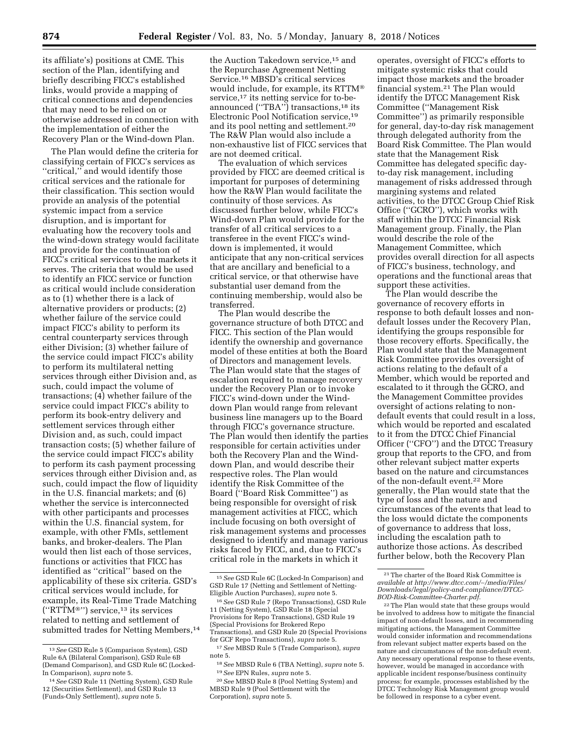its affiliate's) positions at CME. This section of the Plan, identifying and briefly describing FICC's established links, would provide a mapping of critical connections and dependencies that may need to be relied on or otherwise addressed in connection with the implementation of either the Recovery Plan or the Wind-down Plan.

The Plan would define the criteria for classifying certain of FICC's services as ''critical,'' and would identify those critical services and the rationale for their classification. This section would provide an analysis of the potential systemic impact from a service disruption, and is important for evaluating how the recovery tools and the wind-down strategy would facilitate and provide for the continuation of FICC's critical services to the markets it serves. The criteria that would be used to identify an FICC service or function as critical would include consideration as to (1) whether there is a lack of alternative providers or products; (2) whether failure of the service could impact FICC's ability to perform its central counterparty services through either Division; (3) whether failure of the service could impact FICC's ability to perform its multilateral netting services through either Division and, as such, could impact the volume of transactions; (4) whether failure of the service could impact FICC's ability to perform its book-entry delivery and settlement services through either Division and, as such, could impact transaction costs; (5) whether failure of the service could impact FICC's ability to perform its cash payment processing services through either Division and, as such, could impact the flow of liquidity in the U.S. financial markets; and (6) whether the service is interconnected with other participants and processes within the U.S. financial system, for example, with other FMIs, settlement banks, and broker-dealers. The Plan would then list each of those services, functions or activities that FICC has identified as ''critical'' based on the applicability of these six criteria. GSD's critical services would include, for example, its Real-Time Trade Matching (''RTTM®'') service,13 its services related to netting and settlement of submitted trades for Netting Members,<sup>14</sup>

the Auction Takedown service,<sup>15</sup> and the Repurchase Agreement Netting Service.16 MBSD's critical services would include, for example, its RTTM® service,<sup>17</sup> its netting service for to-beannounced ("TBA") transactions,<sup>18</sup> its Electronic Pool Notification service,19 and its pool netting and settlement.20 The R&W Plan would also include a non-exhaustive list of FICC services that are not deemed critical.

The evaluation of which services provided by FICC are deemed critical is important for purposes of determining how the R&W Plan would facilitate the continuity of those services. As discussed further below, while FICC's Wind-down Plan would provide for the transfer of all critical services to a transferee in the event FICC's winddown is implemented, it would anticipate that any non-critical services that are ancillary and beneficial to a critical service, or that otherwise have substantial user demand from the continuing membership, would also be transferred.

The Plan would describe the governance structure of both DTCC and FICC. This section of the Plan would identify the ownership and governance model of these entities at both the Board of Directors and management levels. The Plan would state that the stages of escalation required to manage recovery under the Recovery Plan or to invoke FICC's wind-down under the Winddown Plan would range from relevant business line managers up to the Board through FICC's governance structure. The Plan would then identify the parties responsible for certain activities under both the Recovery Plan and the Winddown Plan, and would describe their respective roles. The Plan would identify the Risk Committee of the Board (''Board Risk Committee'') as being responsible for oversight of risk management activities at FICC, which include focusing on both oversight of risk management systems and processes designed to identify and manage various risks faced by FICC, and, due to FICC's critical role in the markets in which it

operates, oversight of FICC's efforts to mitigate systemic risks that could impact those markets and the broader financial system.21 The Plan would identify the DTCC Management Risk Committee (''Management Risk Committee'') as primarily responsible for general, day-to-day risk management through delegated authority from the Board Risk Committee. The Plan would state that the Management Risk Committee has delegated specific dayto-day risk management, including management of risks addressed through margining systems and related activities, to the DTCC Group Chief Risk Office (''GCRO''), which works with staff within the DTCC Financial Risk Management group. Finally, the Plan would describe the role of the Management Committee, which provides overall direction for all aspects of FICC's business, technology, and operations and the functional areas that support these activities.

The Plan would describe the governance of recovery efforts in response to both default losses and nondefault losses under the Recovery Plan, identifying the groups responsible for those recovery efforts. Specifically, the Plan would state that the Management Risk Committee provides oversight of actions relating to the default of a Member, which would be reported and escalated to it through the GCRO, and the Management Committee provides oversight of actions relating to nondefault events that could result in a loss, which would be reported and escalated to it from the DTCC Chief Financial Officer (''CFO'') and the DTCC Treasury group that reports to the CFO, and from other relevant subject matter experts based on the nature and circumstances of the non-default event.22 More generally, the Plan would state that the type of loss and the nature and circumstances of the events that lead to the loss would dictate the components of governance to address that loss, including the escalation path to authorize those actions. As described further below, both the Recovery Plan

<sup>13</sup>*See* GSD Rule 5 (Comparison System), GSD Rule 6A (Bilateral Comparison), GSD Rule 6B (Demand Comparison), and GSD Rule 6C (Locked-In Comparison), *supra* note 5.

<sup>14</sup>*See* GSD Rule 11 (Netting System), GSD Rule 12 (Securities Settlement), and GSD Rule 13 (Funds-Only Settlement), *supra* note 5.

<sup>15</sup>*See* GSD Rule 6C (Locked-In Comparison) and GSD Rule 17 (Netting and Settlement of Netting-Eligible Auction Purchases), *supra* note 5.

<sup>16</sup>*See* GSD Rule 7 (Repo Transactions), GSD Rule 11 (Netting System), GSD Rule 18 (Special Provisions for Repo Transactions), GSD Rule 19 (Special Provisions for Brokered Repo Transactions), and GSD Rule 20 (Special Provisions for GCF Repo Transactions), *supra* note 5.

<sup>17</sup>*See* MBSD Rule 5 (Trade Comparison), *supra*  note 5.

<sup>18</sup>*See* MBSD Rule 6 (TBA Netting), *supra* note 5. 19*See* EPN Rules, *supra* note 5.

<sup>20</sup>*See* MBSD Rule 8 (Pool Netting System) and MBSD Rule 9 (Pool Settlement with the Corporation), *supra* note 5.

<sup>21</sup>The charter of the Board Risk Committee is *available at [http://www.dtcc.com/](http://www.dtcc.com/~/media/Files/Downloads/legal/policy-and-compliance/DTCC-BOD-Risk-Committee-Charter.pdf)*∼*/media/Files/ [Downloads/legal/policy-and-compliance/DTCC-](http://www.dtcc.com/~/media/Files/Downloads/legal/policy-and-compliance/DTCC-BOD-Risk-Committee-Charter.pdf)[BOD-Risk-Committee-Charter.pdf.](http://www.dtcc.com/~/media/Files/Downloads/legal/policy-and-compliance/DTCC-BOD-Risk-Committee-Charter.pdf)* 

<sup>22</sup>The Plan would state that these groups would be involved to address how to mitigate the financial impact of non-default losses, and in recommending mitigating actions, the Management Committee would consider information and recommendations from relevant subject matter experts based on the nature and circumstances of the non-default event. Any necessary operational response to these events, however, would be managed in accordance with applicable incident response/business continuity process; for example, processes established by the DTCC Technology Risk Management group would be followed in response to a cyber event.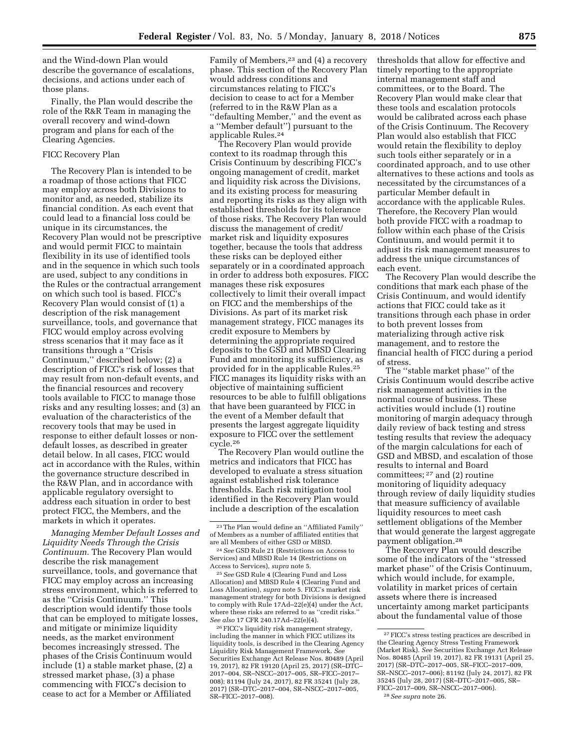and the Wind-down Plan would describe the governance of escalations, decisions, and actions under each of those plans.

Finally, the Plan would describe the role of the R&R Team in managing the overall recovery and wind-down program and plans for each of the Clearing Agencies.

## FICC Recovery Plan

The Recovery Plan is intended to be a roadmap of those actions that FICC may employ across both Divisions to monitor and, as needed, stabilize its financial condition. As each event that could lead to a financial loss could be unique in its circumstances, the Recovery Plan would not be prescriptive and would permit FICC to maintain flexibility in its use of identified tools and in the sequence in which such tools are used, subject to any conditions in the Rules or the contractual arrangement on which such tool is based. FICC's Recovery Plan would consist of (1) a description of the risk management surveillance, tools, and governance that FICC would employ across evolving stress scenarios that it may face as it transitions through a ''Crisis Continuum,'' described below; (2) a description of FICC's risk of losses that may result from non-default events, and the financial resources and recovery tools available to FICC to manage those risks and any resulting losses; and (3) an evaluation of the characteristics of the recovery tools that may be used in response to either default losses or nondefault losses, as described in greater detail below. In all cases, FICC would act in accordance with the Rules, within the governance structure described in the R&W Plan, and in accordance with applicable regulatory oversight to address each situation in order to best protect FICC, the Members, and the markets in which it operates.

*Managing Member Default Losses and Liquidity Needs Through the Crisis Continuum.* The Recovery Plan would describe the risk management surveillance, tools, and governance that FICC may employ across an increasing stress environment, which is referred to as the ''Crisis Continuum.'' This description would identify those tools that can be employed to mitigate losses, and mitigate or minimize liquidity needs, as the market environment becomes increasingly stressed. The phases of the Crisis Continuum would include (1) a stable market phase, (2) a stressed market phase, (3) a phase commencing with FICC's decision to cease to act for a Member or Affiliated

Family of Members,<sup>23</sup> and (4) a recovery phase. This section of the Recovery Plan would address conditions and circumstances relating to FICC's decision to cease to act for a Member (referred to in the R&W Plan as a ''defaulting Member,'' and the event as a ''Member default'') pursuant to the applicable Rules.24

The Recovery Plan would provide context to its roadmap through this Crisis Continuum by describing FICC's ongoing management of credit, market and liquidity risk across the Divisions, and its existing process for measuring and reporting its risks as they align with established thresholds for its tolerance of those risks. The Recovery Plan would discuss the management of credit/ market risk and liquidity exposures together, because the tools that address these risks can be deployed either separately or in a coordinated approach in order to address both exposures. FICC manages these risk exposures collectively to limit their overall impact on FICC and the memberships of the Divisions. As part of its market risk management strategy, FICC manages its credit exposure to Members by determining the appropriate required deposits to the GSD and MBSD Clearing Fund and monitoring its sufficiency, as provided for in the applicable Rules.25 FICC manages its liquidity risks with an objective of maintaining sufficient resources to be able to fulfill obligations that have been guaranteed by FICC in the event of a Member default that presents the largest aggregate liquidity exposure to FICC over the settlement cycle.26

The Recovery Plan would outline the metrics and indicators that FICC has developed to evaluate a stress situation against established risk tolerance thresholds. Each risk mitigation tool identified in the Recovery Plan would include a description of the escalation

25*See* GSD Rule 4 (Clearing Fund and Loss Allocation) and MBSD Rule 4 (Clearing Fund and Loss Allocation), *supra* note 5. FICC's market risk management strategy for both Divisions is designed to comply with Rule 17Ad–22(e)(4) under the Act, where these risks are referred to as ''credit risks.'' *See also* 17 CFR 240.17Ad–22(e)(4).

26FICC's liquidity risk management strategy, including the manner in which FICC utilizes its liquidity tools, is described in the Clearing Agency Liquidity Risk Management Framework. *See*  Securities Exchange Act Release Nos. 80489 (April 19, 2017), 82 FR 19120 (April 25, 2017) (SR–DTC– 2017–004, SR–NSCC–2017–005, SR–FICC–2017– 008); 81194 (July 24, 2017), 82 FR 35241 (July 28, 2017) (SR–DTC–2017–004, SR–NSCC–2017–005, SR–FICC–2017–008).

thresholds that allow for effective and timely reporting to the appropriate internal management staff and committees, or to the Board. The Recovery Plan would make clear that these tools and escalation protocols would be calibrated across each phase of the Crisis Continuum. The Recovery Plan would also establish that FICC would retain the flexibility to deploy such tools either separately or in a coordinated approach, and to use other alternatives to these actions and tools as necessitated by the circumstances of a particular Member default in accordance with the applicable Rules. Therefore, the Recovery Plan would both provide FICC with a roadmap to follow within each phase of the Crisis Continuum, and would permit it to adjust its risk management measures to address the unique circumstances of each event.

The Recovery Plan would describe the conditions that mark each phase of the Crisis Continuum, and would identify actions that FICC could take as it transitions through each phase in order to both prevent losses from materializing through active risk management, and to restore the financial health of FICC during a period of stress.

The ''stable market phase'' of the Crisis Continuum would describe active risk management activities in the normal course of business. These activities would include (1) routine monitoring of margin adequacy through daily review of back testing and stress testing results that review the adequacy of the margin calculations for each of GSD and MBSD, and escalation of those results to internal and Board committees; 27 and (2) routine monitoring of liquidity adequacy through review of daily liquidity studies that measure sufficiency of available liquidity resources to meet cash settlement obligations of the Member that would generate the largest aggregate payment obligation.28

The Recovery Plan would describe some of the indicators of the ''stressed market phase'' of the Crisis Continuum, which would include, for example, volatility in market prices of certain assets where there is increased uncertainty among market participants about the fundamental value of those

<sup>23</sup>The Plan would define an ''Affiliated Family'' of Members as a number of affiliated entities that are all Members of either GSD or MBSD.

<sup>24</sup>*See* GSD Rule 21 (Restrictions on Access to Services) and MBSD Rule 14 (Restrictions on Access to Services), *supra* note 5.

<sup>27</sup>FICC's stress testing practices are described in the Clearing Agency Stress Testing Framework (Market Risk). *See* Securities Exchange Act Release Nos. 80485 (April 19, 2017), 82 FR 19131 (April 25, 2017) (SR–DTC–2017–005, SR–FICC–2017–009, SR–NSCC–2017–006); 81192 (July 24, 2017), 82 FR 35245 (July 28, 2017) (SR–DTC–2017–005, SR– FICC–2017–009, SR–NSCC–2017–006). 28*See supra* note 26.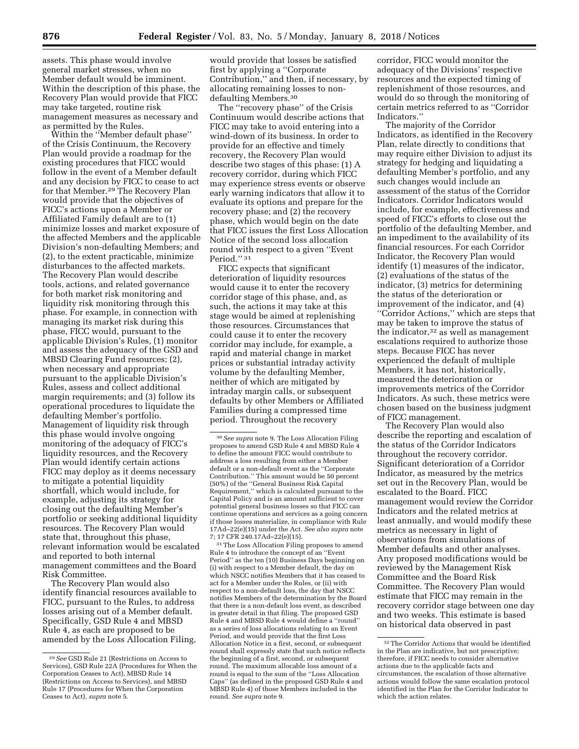assets. This phase would involve general market stresses, when no Member default would be imminent. Within the description of this phase, the Recovery Plan would provide that FICC may take targeted, routine risk management measures as necessary and as permitted by the Rules.

Within the ''Member default phase'' of the Crisis Continuum, the Recovery Plan would provide a roadmap for the existing procedures that FICC would follow in the event of a Member default and any decision by FICC to cease to act for that Member.29 The Recovery Plan would provide that the objectives of FICC's actions upon a Member or Affiliated Family default are to (1) minimize losses and market exposure of the affected Members and the applicable Division's non-defaulting Members; and (2), to the extent practicable, minimize disturbances to the affected markets. The Recovery Plan would describe tools, actions, and related governance for both market risk monitoring and liquidity risk monitoring through this phase. For example, in connection with managing its market risk during this phase, FICC would, pursuant to the applicable Division's Rules, (1) monitor and assess the adequacy of the GSD and MBSD Clearing Fund resources; (2), when necessary and appropriate pursuant to the applicable Division's Rules, assess and collect additional margin requirements; and (3) follow its operational procedures to liquidate the defaulting Member's portfolio. Management of liquidity risk through this phase would involve ongoing monitoring of the adequacy of FICC's liquidity resources, and the Recovery Plan would identify certain actions FICC may deploy as it deems necessary to mitigate a potential liquidity shortfall, which would include, for example, adjusting its strategy for closing out the defaulting Member's portfolio or seeking additional liquidity resources. The Recovery Plan would state that, throughout this phase, relevant information would be escalated and reported to both internal management committees and the Board Risk Committee.

The Recovery Plan would also identify financial resources available to FICC, pursuant to the Rules, to address losses arising out of a Member default. Specifically, GSD Rule 4 and MBSD Rule 4, as each are proposed to be amended by the Loss Allocation Filing,

would provide that losses be satisfied first by applying a ''Corporate Contribution,'' and then, if necessary, by allocating remaining losses to nondefaulting Members.30

The ''recovery phase'' of the Crisis Continuum would describe actions that FICC may take to avoid entering into a wind-down of its business. In order to provide for an effective and timely recovery, the Recovery Plan would describe two stages of this phase: (1) A recovery corridor, during which FICC may experience stress events or observe early warning indicators that allow it to evaluate its options and prepare for the recovery phase; and (2) the recovery phase, which would begin on the date that FICC issues the first Loss Allocation Notice of the second loss allocation round with respect to a given ''Event Period."<sup>31</sup>

FICC expects that significant deterioration of liquidity resources would cause it to enter the recovery corridor stage of this phase, and, as such, the actions it may take at this stage would be aimed at replenishing those resources. Circumstances that could cause it to enter the recovery corridor may include, for example, a rapid and material change in market prices or substantial intraday activity volume by the defaulting Member, neither of which are mitigated by intraday margin calls, or subsequent defaults by other Members or Affiliated Families during a compressed time period. Throughout the recovery

 $^{\rm 31}\rm{The}$  Loss Allocation Filing proposes to amend Rule 4 to introduce the concept of an ''Event Period'' as the ten (10) Business Days beginning on (i) with respect to a Member default, the day on which NSCC notifies Members that it has ceased to act for a Member under the Rules, or (ii) with respect to a non-default loss, the day that NSCC notifies Members of the determination by the Board that there is a non-default loss event, as described in greater detail in that filing. The proposed GSD Rule 4 and MBSD Rule 4 would define a ''round'' as a series of loss allocations relating to an Event Period, and would provide that the first Loss Allocation Notice in a first, second, or subsequent round shall expressly state that such notice reflects the beginning of a first, second, or subsequent round. The maximum allocable loss amount of a round is equal to the sum of the ''Loss Allocation Caps'' (as defined in the proposed GSD Rule 4 and MBSD Rule 4) of those Members included in the round. *See supra* note 9.

corridor, FICC would monitor the adequacy of the Divisions' respective resources and the expected timing of replenishment of those resources, and would do so through the monitoring of certain metrics referred to as ''Corridor Indicators.''

The majority of the Corridor Indicators, as identified in the Recovery Plan, relate directly to conditions that may require either Division to adjust its strategy for hedging and liquidating a defaulting Member's portfolio, and any such changes would include an assessment of the status of the Corridor Indicators. Corridor Indicators would include, for example, effectiveness and speed of FICC's efforts to close out the portfolio of the defaulting Member, and an impediment to the availability of its financial resources. For each Corridor Indicator, the Recovery Plan would identify (1) measures of the indicator, (2) evaluations of the status of the indicator, (3) metrics for determining the status of the deterioration or improvement of the indicator, and (4) ''Corridor Actions,'' which are steps that may be taken to improve the status of the indicator, $32$  as well as management escalations required to authorize those steps. Because FICC has never experienced the default of multiple Members, it has not, historically, measured the deterioration or improvements metrics of the Corridor Indicators. As such, these metrics were chosen based on the business judgment of FICC management.

The Recovery Plan would also describe the reporting and escalation of the status of the Corridor Indicators throughout the recovery corridor. Significant deterioration of a Corridor Indicator, as measured by the metrics set out in the Recovery Plan, would be escalated to the Board. FICC management would review the Corridor Indicators and the related metrics at least annually, and would modify these metrics as necessary in light of observations from simulations of Member defaults and other analyses. Any proposed modifications would be reviewed by the Management Risk Committee and the Board Risk Committee. The Recovery Plan would estimate that FICC may remain in the recovery corridor stage between one day and two weeks. This estimate is based on historical data observed in past

<sup>29</sup>*See* GSD Rule 21 (Restrictions on Access to Services), GSD Rule 22A (Procedures for When the Corporation Ceases to Act), MBSD Rule 14 (Restrictions on Access to Services), and MBSD Rule 17 (Procedures for When the Corporation Ceases to Act), *supra* note 5.

<sup>30</sup>*See supra* note 9. The Loss Allocation Filing proposes to amend GSD Rule 4 and MBSD Rule 4 to define the amount FICC would contribute to address a loss resulting from either a Member default or a non-default event as the ''Corporate Contribution.'' This amount would be 50 percent (50%) of the ''General Business Risk Capital Requirement,'' which is calculated pursuant to the Capital Policy and is an amount sufficient to cover potential general business losses so that FICC can continue operations and services as a going concern if those losses materialize, in compliance with Rule 17Ad–22(e)(15) under the Act. *See also supra* note 7; 17 CFR 240.17Ad–22(e)(15).

<sup>32</sup>The Corridor Actions that would be identified in the Plan are indicative, but not prescriptive; therefore, if FICC needs to consider alternative actions due to the applicable facts and circumstances, the escalation of those alternative actions would follow the same escalation protocol identified in the Plan for the Corridor Indicator to which the action relates.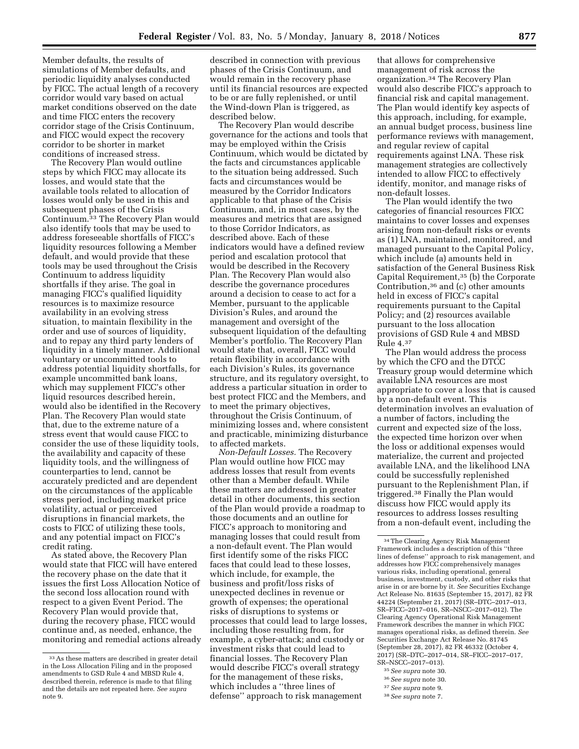Member defaults, the results of simulations of Member defaults, and periodic liquidity analyses conducted by FICC. The actual length of a recovery corridor would vary based on actual market conditions observed on the date and time FICC enters the recovery corridor stage of the Crisis Continuum, and FICC would expect the recovery corridor to be shorter in market conditions of increased stress.

The Recovery Plan would outline steps by which FICC may allocate its losses, and would state that the available tools related to allocation of losses would only be used in this and subsequent phases of the Crisis Continuum.33 The Recovery Plan would also identify tools that may be used to address foreseeable shortfalls of FICC's liquidity resources following a Member default, and would provide that these tools may be used throughout the Crisis Continuum to address liquidity shortfalls if they arise. The goal in managing FICC's qualified liquidity resources is to maximize resource availability in an evolving stress situation, to maintain flexibility in the order and use of sources of liquidity, and to repay any third party lenders of liquidity in a timely manner. Additional voluntary or uncommitted tools to address potential liquidity shortfalls, for example uncommitted bank loans, which may supplement FICC's other liquid resources described herein, would also be identified in the Recovery Plan. The Recovery Plan would state that, due to the extreme nature of a stress event that would cause FICC to consider the use of these liquidity tools, the availability and capacity of these liquidity tools, and the willingness of counterparties to lend, cannot be accurately predicted and are dependent on the circumstances of the applicable stress period, including market price volatility, actual or perceived disruptions in financial markets, the costs to FICC of utilizing these tools, and any potential impact on FICC's credit rating.

As stated above, the Recovery Plan would state that FICC will have entered the recovery phase on the date that it issues the first Loss Allocation Notice of the second loss allocation round with respect to a given Event Period. The Recovery Plan would provide that, during the recovery phase, FICC would continue and, as needed, enhance, the monitoring and remedial actions already

described in connection with previous phases of the Crisis Continuum, and would remain in the recovery phase until its financial resources are expected to be or are fully replenished, or until the Wind-down Plan is triggered, as described below.

The Recovery Plan would describe governance for the actions and tools that may be employed within the Crisis Continuum, which would be dictated by the facts and circumstances applicable to the situation being addressed. Such facts and circumstances would be measured by the Corridor Indicators applicable to that phase of the Crisis Continuum, and, in most cases, by the measures and metrics that are assigned to those Corridor Indicators, as described above. Each of these indicators would have a defined review period and escalation protocol that would be described in the Recovery Plan. The Recovery Plan would also describe the governance procedures around a decision to cease to act for a Member, pursuant to the applicable Division's Rules, and around the management and oversight of the subsequent liquidation of the defaulting Member's portfolio. The Recovery Plan would state that, overall, FICC would retain flexibility in accordance with each Division's Rules, its governance structure, and its regulatory oversight, to address a particular situation in order to best protect FICC and the Members, and to meet the primary objectives, throughout the Crisis Continuum, of minimizing losses and, where consistent and practicable, minimizing disturbance to affected markets.

*Non-Default Losses.* The Recovery Plan would outline how FICC may address losses that result from events other than a Member default. While these matters are addressed in greater detail in other documents, this section of the Plan would provide a roadmap to those documents and an outline for FICC's approach to monitoring and managing losses that could result from a non-default event. The Plan would first identify some of the risks FICC faces that could lead to these losses, which include, for example, the business and profit/loss risks of unexpected declines in revenue or growth of expenses; the operational risks of disruptions to systems or processes that could lead to large losses, including those resulting from, for example, a cyber-attack; and custody or investment risks that could lead to financial losses. The Recovery Plan would describe FICC's overall strategy for the management of these risks, which includes a ''three lines of defense'' approach to risk management

that allows for comprehensive management of risk across the organization.34 The Recovery Plan would also describe FICC's approach to financial risk and capital management. The Plan would identify key aspects of this approach, including, for example, an annual budget process, business line performance reviews with management, and regular review of capital requirements against LNA. These risk management strategies are collectively intended to allow FICC to effectively identify, monitor, and manage risks of non-default losses.

The Plan would identify the two categories of financial resources FICC maintains to cover losses and expenses arising from non-default risks or events as (1) LNA, maintained, monitored, and managed pursuant to the Capital Policy, which include (a) amounts held in satisfaction of the General Business Risk Capital Requirement,35 (b) the Corporate Contribution,36 and (c) other amounts held in excess of FICC's capital requirements pursuant to the Capital Policy; and (2) resources available pursuant to the loss allocation provisions of GSD Rule 4 and MBSD Rule 4.37

The Plan would address the process by which the CFO and the DTCC Treasury group would determine which available LNA resources are most appropriate to cover a loss that is caused by a non-default event. This determination involves an evaluation of a number of factors, including the current and expected size of the loss, the expected time horizon over when the loss or additional expenses would materialize, the current and projected available LNA, and the likelihood LNA could be successfully replenished pursuant to the Replenishment Plan, if triggered.38 Finally the Plan would discuss how FICC would apply its resources to address losses resulting from a non-default event, including the

- 35*See supra* note 30.
- 36*See supra* note 30.
- 37*See supra* note 9.

<sup>33</sup>As these matters are described in greater detail in the Loss Allocation Filing and in the proposed amendments to GSD Rule 4 and MBSD Rule 4, described therein, reference is made to that filing and the details are not repeated here. *See supra*  note 9.

<sup>34</sup>The Clearing Agency Risk Management Framework includes a description of this ''three lines of defense'' approach to risk management, and addresses how FICC comprehensively manages various risks, including operational, general business, investment, custody, and other risks that arise in or are borne by it. *See* Securities Exchange Act Release No. 81635 (September 15, 2017), 82 FR 44224 (September 21, 2017) (SR–DTC–2017–013, SR–FICC–2017–016, SR–NSCC–2017–012). The Clearing Agency Operational Risk Management Framework describes the manner in which FICC manages operational risks, as defined therein. *See*  Securities Exchange Act Release No. 81745 (September 28, 2017), 82 FR 46332 (October 4, 2017) (SR–DTC–2017–014, SR–FICC–2017–017, SR–NSCC–2017–013).

<sup>38</sup>*See supra* note 7.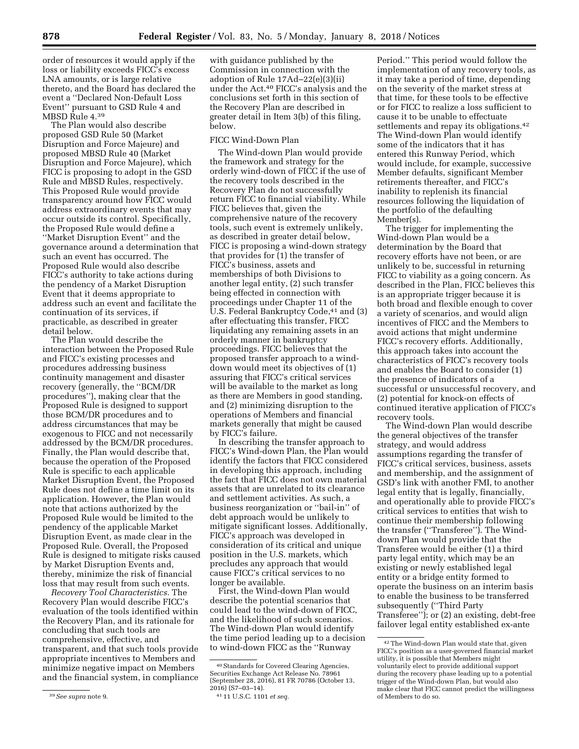order of resources it would apply if the loss or liability exceeds FICC's excess LNA amounts, or is large relative thereto, and the Board has declared the event a ''Declared Non-Default Loss Event'' pursuant to GSD Rule 4 and MBSD Rule 4.39

The Plan would also describe proposed GSD Rule 50 (Market Disruption and Force Majeure) and proposed MBSD Rule 40 (Market Disruption and Force Majeure), which FICC is proposing to adopt in the GSD Rule and MBSD Rules, respectively. This Proposed Rule would provide transparency around how FICC would address extraordinary events that may occur outside its control. Specifically, the Proposed Rule would define a ''Market Disruption Event'' and the governance around a determination that such an event has occurred. The Proposed Rule would also describe FICC's authority to take actions during the pendency of a Market Disruption Event that it deems appropriate to address such an event and facilitate the continuation of its services, if practicable, as described in greater detail below.

The Plan would describe the interaction between the Proposed Rule and FICC's existing processes and procedures addressing business continuity management and disaster recovery (generally, the ''BCM/DR procedures''), making clear that the Proposed Rule is designed to support those BCM/DR procedures and to address circumstances that may be exogenous to FICC and not necessarily addressed by the BCM/DR procedures. Finally, the Plan would describe that, because the operation of the Proposed Rule is specific to each applicable Market Disruption Event, the Proposed Rule does not define a time limit on its application. However, the Plan would note that actions authorized by the Proposed Rule would be limited to the pendency of the applicable Market Disruption Event, as made clear in the Proposed Rule. Overall, the Proposed Rule is designed to mitigate risks caused by Market Disruption Events and, thereby, minimize the risk of financial loss that may result from such events.

*Recovery Tool Characteristics.* The Recovery Plan would describe FICC's evaluation of the tools identified within the Recovery Plan, and its rationale for concluding that such tools are comprehensive, effective, and transparent, and that such tools provide appropriate incentives to Members and minimize negative impact on Members and the financial system, in compliance

with guidance published by the Commission in connection with the adoption of Rule 17Ad–22(e)(3)(ii) under the Act.40 FICC's analysis and the conclusions set forth in this section of the Recovery Plan are described in greater detail in Item 3(b) of this filing, below.

#### FICC Wind-Down Plan

The Wind-down Plan would provide the framework and strategy for the orderly wind-down of FICC if the use of the recovery tools described in the Recovery Plan do not successfully return FICC to financial viability. While FICC believes that, given the comprehensive nature of the recovery tools, such event is extremely unlikely, as described in greater detail below, FICC is proposing a wind-down strategy that provides for (1) the transfer of FICC's business, assets and memberships of both Divisions to another legal entity, (2) such transfer being effected in connection with proceedings under Chapter 11 of the U.S. Federal Bankruptcy Code,<sup>41</sup> and (3) after effectuating this transfer, FICC liquidating any remaining assets in an orderly manner in bankruptcy proceedings. FICC believes that the proposed transfer approach to a winddown would meet its objectives of (1) assuring that FICC's critical services will be available to the market as long as there are Members in good standing, and (2) minimizing disruption to the operations of Members and financial markets generally that might be caused by FICC's failure.

In describing the transfer approach to FICC's Wind-down Plan, the Plan would identify the factors that FICC considered in developing this approach, including the fact that FICC does not own material assets that are unrelated to its clearance and settlement activities. As such, a business reorganization or ''bail-in'' of debt approach would be unlikely to mitigate significant losses. Additionally, FICC's approach was developed in consideration of its critical and unique position in the U.S. markets, which precludes any approach that would cause FICC's critical services to no longer be available.

First, the Wind-down Plan would describe the potential scenarios that could lead to the wind-down of FICC, and the likelihood of such scenarios. The Wind-down Plan would identify the time period leading up to a decision to wind-down FICC as the ''Runway

Period.'' This period would follow the implementation of any recovery tools, as it may take a period of time, depending on the severity of the market stress at that time, for these tools to be effective or for FICC to realize a loss sufficient to cause it to be unable to effectuate settlements and repay its obligations.<sup>42</sup> The Wind-down Plan would identify some of the indicators that it has entered this Runway Period, which would include, for example, successive Member defaults, significant Member retirements thereafter, and FICC's inability to replenish its financial resources following the liquidation of the portfolio of the defaulting Member(s).

The trigger for implementing the Wind-down Plan would be a determination by the Board that recovery efforts have not been, or are unlikely to be, successful in returning FICC to viability as a going concern. As described in the Plan, FICC believes this is an appropriate trigger because it is both broad and flexible enough to cover a variety of scenarios, and would align incentives of FICC and the Members to avoid actions that might undermine FICC's recovery efforts. Additionally, this approach takes into account the characteristics of FICC's recovery tools and enables the Board to consider (1) the presence of indicators of a successful or unsuccessful recovery, and (2) potential for knock-on effects of continued iterative application of FICC's recovery tools.

The Wind-down Plan would describe the general objectives of the transfer strategy, and would address assumptions regarding the transfer of FICC's critical services, business, assets and membership, and the assignment of GSD's link with another FMI, to another legal entity that is legally, financially, and operationally able to provide FICC's critical services to entities that wish to continue their membership following the transfer (''Transferee''). The Winddown Plan would provide that the Transferee would be either (1) a third party legal entity, which may be an existing or newly established legal entity or a bridge entity formed to operate the business on an interim basis to enable the business to be transferred subsequently (''Third Party Transferee''); or (2) an existing, debt-free failover legal entity established ex-ante

<sup>39</sup>*See supra* note 9.

<sup>40</sup>Standards for Covered Clearing Agencies, Securities Exchange Act Release No. 78961 (September 28, 2016), 81 FR 70786 (October 13, 2016) (S7-03-14).

<sup>2016) (</sup>S7–03–14). 41 11 U.S.C. 1101 *et seq.* 

<sup>42</sup>The Wind-down Plan would state that, given FICC's position as a user-governed financial market utility, it is possible that Members might voluntarily elect to provide additional support during the recovery phase leading up to a potential trigger of the Wind-down Plan, but would also make clear that FICC cannot predict the willingness of Members to do so.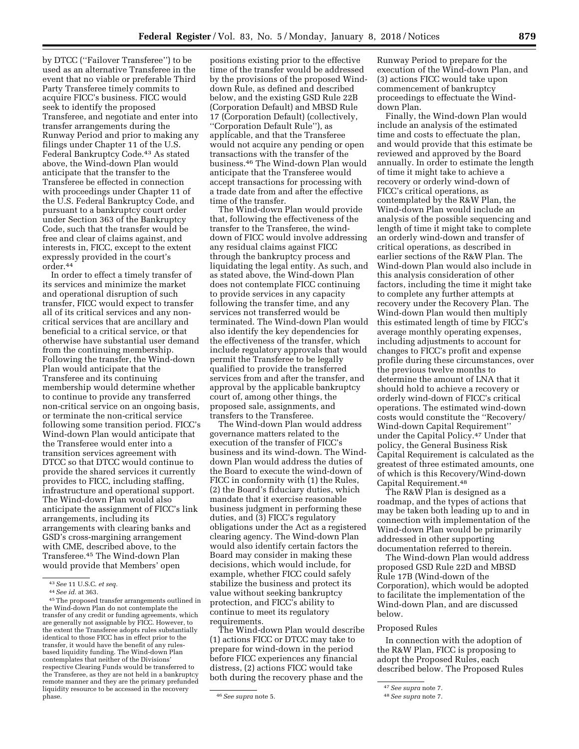by DTCC (''Failover Transferee'') to be used as an alternative Transferee in the event that no viable or preferable Third Party Transferee timely commits to acquire FICC's business. FICC would seek to identify the proposed Transferee, and negotiate and enter into transfer arrangements during the Runway Period and prior to making any filings under Chapter 11 of the U.S. Federal Bankruptcy Code.<sup>43</sup> As stated above, the Wind-down Plan would anticipate that the transfer to the Transferee be effected in connection with proceedings under Chapter 11 of the U.S. Federal Bankruptcy Code, and pursuant to a bankruptcy court order under Section 363 of the Bankruptcy Code, such that the transfer would be free and clear of claims against, and interests in, FICC, except to the extent expressly provided in the court's order.44

In order to effect a timely transfer of its services and minimize the market and operational disruption of such transfer, FICC would expect to transfer all of its critical services and any noncritical services that are ancillary and beneficial to a critical service, or that otherwise have substantial user demand from the continuing membership. Following the transfer, the Wind-down Plan would anticipate that the Transferee and its continuing membership would determine whether to continue to provide any transferred non-critical service on an ongoing basis, or terminate the non-critical service following some transition period. FICC's Wind-down Plan would anticipate that the Transferee would enter into a transition services agreement with DTCC so that DTCC would continue to provide the shared services it currently provides to FICC, including staffing, infrastructure and operational support. The Wind-down Plan would also anticipate the assignment of FICC's link arrangements, including its arrangements with clearing banks and GSD's cross-margining arrangement with CME, described above, to the Transferee.45 The Wind-down Plan would provide that Members' open

positions existing prior to the effective time of the transfer would be addressed by the provisions of the proposed Winddown Rule, as defined and described below, and the existing GSD Rule 22B (Corporation Default) and MBSD Rule 17 (Corporation Default) (collectively, ''Corporation Default Rule''), as applicable, and that the Transferee would not acquire any pending or open transactions with the transfer of the business.46 The Wind-down Plan would anticipate that the Transferee would accept transactions for processing with a trade date from and after the effective time of the transfer.

The Wind-down Plan would provide that, following the effectiveness of the transfer to the Transferee, the winddown of FICC would involve addressing any residual claims against FICC through the bankruptcy process and liquidating the legal entity. As such, and as stated above, the Wind-down Plan does not contemplate FICC continuing to provide services in any capacity following the transfer time, and any services not transferred would be terminated. The Wind-down Plan would also identify the key dependencies for the effectiveness of the transfer, which include regulatory approvals that would permit the Transferee to be legally qualified to provide the transferred services from and after the transfer, and approval by the applicable bankruptcy court of, among other things, the proposed sale, assignments, and transfers to the Transferee.

The Wind-down Plan would address governance matters related to the execution of the transfer of FICC's business and its wind-down. The Winddown Plan would address the duties of the Board to execute the wind-down of FICC in conformity with (1) the Rules, (2) the Board's fiduciary duties, which mandate that it exercise reasonable business judgment in performing these duties, and (3) FICC's regulatory obligations under the Act as a registered clearing agency. The Wind-down Plan would also identify certain factors the Board may consider in making these decisions, which would include, for example, whether FICC could safely stabilize the business and protect its value without seeking bankruptcy protection, and FICC's ability to continue to meet its regulatory requirements.

The Wind-down Plan would describe (1) actions FICC or DTCC may take to prepare for wind-down in the period before FICC experiences any financial distress, (2) actions FICC would take both during the recovery phase and the

Runway Period to prepare for the execution of the Wind-down Plan, and (3) actions FICC would take upon commencement of bankruptcy proceedings to effectuate the Winddown Plan.

Finally, the Wind-down Plan would include an analysis of the estimated time and costs to effectuate the plan, and would provide that this estimate be reviewed and approved by the Board annually. In order to estimate the length of time it might take to achieve a recovery or orderly wind-down of FICC's critical operations, as contemplated by the R&W Plan, the Wind-down Plan would include an analysis of the possible sequencing and length of time it might take to complete an orderly wind-down and transfer of critical operations, as described in earlier sections of the R&W Plan. The Wind-down Plan would also include in this analysis consideration of other factors, including the time it might take to complete any further attempts at recovery under the Recovery Plan. The Wind-down Plan would then multiply this estimated length of time by FICC's average monthly operating expenses, including adjustments to account for changes to FICC's profit and expense profile during these circumstances, over the previous twelve months to determine the amount of LNA that it should hold to achieve a recovery or orderly wind-down of FICC's critical operations. The estimated wind-down costs would constitute the ''Recovery/ Wind-down Capital Requirement'' under the Capital Policy.47 Under that policy, the General Business Risk Capital Requirement is calculated as the greatest of three estimated amounts, one of which is this Recovery/Wind-down Capital Requirement.48

The R&W Plan is designed as a roadmap, and the types of actions that may be taken both leading up to and in connection with implementation of the Wind-down Plan would be primarily addressed in other supporting documentation referred to therein.

The Wind-down Plan would address proposed GSD Rule 22D and MBSD Rule 17B (Wind-down of the Corporation), which would be adopted to facilitate the implementation of the Wind-down Plan, and are discussed below.

### Proposed Rules

In connection with the adoption of the R&W Plan, FICC is proposing to adopt the Proposed Rules, each described below. The Proposed Rules

<sup>43</sup>*See* 11 U.S.C. *et seq.* 

<sup>&</sup>lt;sup>45</sup> The proposed transfer arrangements outlined in the Wind-down Plan do not contemplate the transfer of any credit or funding agreements, which are generally not assignable by FICC. However, to the extent the Transferee adopts rules substantially identical to those FICC has in effect prior to the transfer, it would have the benefit of any rulesbased liquidity funding. The Wind-down Plan contemplates that neither of the Divisions' respective Clearing Funds would be transferred to the Transferee, as they are not held in a bankruptcy remote manner and they are the primary prefunded liquidity resource to be accessed in the recovery

phase. 46*See supra* note 5.

<sup>47</sup>*See supra* note 7.

<sup>48</sup>*See supra* note 7.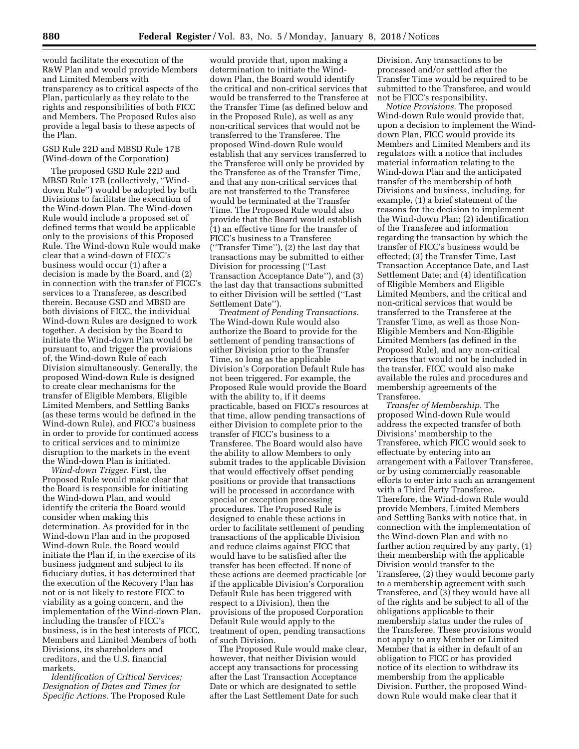would facilitate the execution of the R&W Plan and would provide Members and Limited Members with transparency as to critical aspects of the Plan, particularly as they relate to the rights and responsibilities of both FICC and Members. The Proposed Rules also provide a legal basis to these aspects of the Plan.

GSD Rule 22D and MBSD Rule 17B (Wind-down of the Corporation)

The proposed GSD Rule 22D and MBSD Rule 17B (collectively, ''Winddown Rule'') would be adopted by both Divisions to facilitate the execution of the Wind-down Plan. The Wind-down Rule would include a proposed set of defined terms that would be applicable only to the provisions of this Proposed Rule. The Wind-down Rule would make clear that a wind-down of FICC's business would occur (1) after a decision is made by the Board, and (2) in connection with the transfer of FICC's services to a Transferee, as described therein. Because GSD and MBSD are both divisions of FICC, the individual Wind-down Rules are designed to work together. A decision by the Board to initiate the Wind-down Plan would be pursuant to, and trigger the provisions of, the Wind-down Rule of each Division simultaneously. Generally, the proposed Wind-down Rule is designed to create clear mechanisms for the transfer of Eligible Members, Eligible Limited Members, and Settling Banks (as these terms would be defined in the Wind-down Rule), and FICC's business in order to provide for continued access to critical services and to minimize disruption to the markets in the event the Wind-down Plan is initiated.

*Wind-down Trigger.* First, the Proposed Rule would make clear that the Board is responsible for initiating the Wind-down Plan, and would identify the criteria the Board would consider when making this determination. As provided for in the Wind-down Plan and in the proposed Wind-down Rule, the Board would initiate the Plan if, in the exercise of its business judgment and subject to its fiduciary duties, it has determined that the execution of the Recovery Plan has not or is not likely to restore FICC to viability as a going concern, and the implementation of the Wind-down Plan, including the transfer of FICC's business, is in the best interests of FICC, Members and Limited Members of both Divisions, its shareholders and creditors, and the U.S. financial markets.

*Identification of Critical Services; Designation of Dates and Times for Specific Actions.* The Proposed Rule

would provide that, upon making a determination to initiate the Winddown Plan, the Board would identify the critical and non-critical services that would be transferred to the Transferee at the Transfer Time (as defined below and in the Proposed Rule), as well as any non-critical services that would not be transferred to the Transferee. The proposed Wind-down Rule would establish that any services transferred to the Transferee will only be provided by the Transferee as of the Transfer Time, and that any non-critical services that are not transferred to the Transferee would be terminated at the Transfer Time. The Proposed Rule would also provide that the Board would establish (1) an effective time for the transfer of FICC's business to a Transferee (''Transfer Time''), (2) the last day that transactions may be submitted to either Division for processing (''Last Transaction Acceptance Date''), and (3) the last day that transactions submitted to either Division will be settled (''Last Settlement Date'').

*Treatment of Pending Transactions.*  The Wind-down Rule would also authorize the Board to provide for the settlement of pending transactions of either Division prior to the Transfer Time, so long as the applicable Division's Corporation Default Rule has not been triggered. For example, the Proposed Rule would provide the Board with the ability to, if it deems practicable, based on FICC's resources at that time, allow pending transactions of either Division to complete prior to the transfer of FICC's business to a Transferee. The Board would also have the ability to allow Members to only submit trades to the applicable Division that would effectively offset pending positions or provide that transactions will be processed in accordance with special or exception processing procedures. The Proposed Rule is designed to enable these actions in order to facilitate settlement of pending transactions of the applicable Division and reduce claims against FICC that would have to be satisfied after the transfer has been effected. If none of these actions are deemed practicable (or if the applicable Division's Corporation Default Rule has been triggered with respect to a Division), then the provisions of the proposed Corporation Default Rule would apply to the treatment of open, pending transactions of such Division.

The Proposed Rule would make clear, however, that neither Division would accept any transactions for processing after the Last Transaction Acceptance Date or which are designated to settle after the Last Settlement Date for such

Division. Any transactions to be processed and/or settled after the Transfer Time would be required to be submitted to the Transferee, and would not be FICC's responsibility.

*Notice Provisions.* The proposed Wind-down Rule would provide that, upon a decision to implement the Winddown Plan, FICC would provide its Members and Limited Members and its regulators with a notice that includes material information relating to the Wind-down Plan and the anticipated transfer of the membership of both Divisions and business, including, for example, (1) a brief statement of the reasons for the decision to implement the Wind-down Plan; (2) identification of the Transferee and information regarding the transaction by which the transfer of FICC's business would be effected; (3) the Transfer Time, Last Transaction Acceptance Date, and Last Settlement Date; and (4) identification of Eligible Members and Eligible Limited Members, and the critical and non-critical services that would be transferred to the Transferee at the Transfer Time, as well as those Non-Eligible Members and Non-Eligible Limited Members (as defined in the Proposed Rule), and any non-critical services that would not be included in the transfer. FICC would also make available the rules and procedures and membership agreements of the Transferee.

*Transfer of Membership.* The proposed Wind-down Rule would address the expected transfer of both Divisions' membership to the Transferee, which FICC would seek to effectuate by entering into an arrangement with a Failover Transferee, or by using commercially reasonable efforts to enter into such an arrangement with a Third Party Transferee. Therefore, the Wind-down Rule would provide Members, Limited Members and Settling Banks with notice that, in connection with the implementation of the Wind-down Plan and with no further action required by any party, (1) their membership with the applicable Division would transfer to the Transferee, (2) they would become party to a membership agreement with such Transferee, and (3) they would have all of the rights and be subject to all of the obligations applicable to their membership status under the rules of the Transferee. These provisions would not apply to any Member or Limited Member that is either in default of an obligation to FICC or has provided notice of its election to withdraw its membership from the applicable Division. Further, the proposed Winddown Rule would make clear that it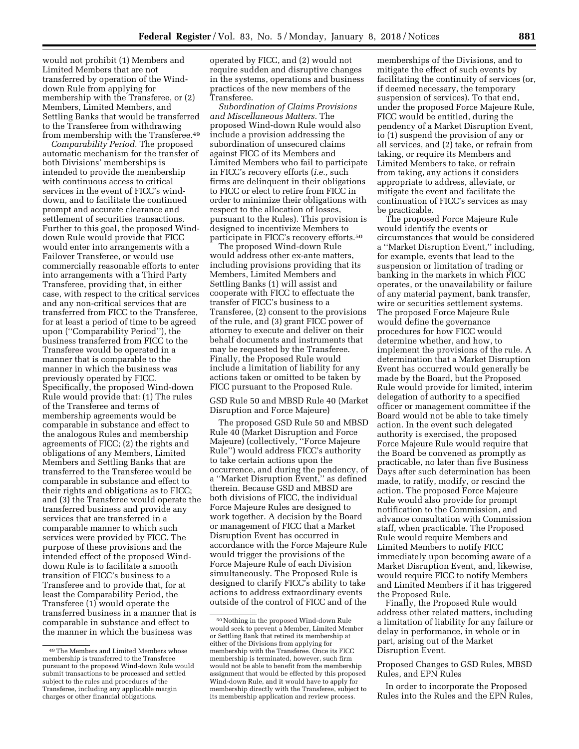would not prohibit (1) Members and Limited Members that are not transferred by operation of the Winddown Rule from applying for membership with the Transferee, or (2) Members, Limited Members, and Settling Banks that would be transferred to the Transferee from withdrawing from membership with the Transferee.<sup>49</sup>

*Comparability Period.* The proposed automatic mechanism for the transfer of both Divisions' memberships is intended to provide the membership with continuous access to critical services in the event of FICC's winddown, and to facilitate the continued prompt and accurate clearance and settlement of securities transactions. Further to this goal, the proposed Winddown Rule would provide that FICC would enter into arrangements with a Failover Transferee, or would use commercially reasonable efforts to enter into arrangements with a Third Party Transferee, providing that, in either case, with respect to the critical services and any non-critical services that are transferred from FICC to the Transferee, for at least a period of time to be agreed upon (''Comparability Period''), the business transferred from FICC to the Transferee would be operated in a manner that is comparable to the manner in which the business was previously operated by FICC. Specifically, the proposed Wind-down Rule would provide that: (1) The rules of the Transferee and terms of membership agreements would be comparable in substance and effect to the analogous Rules and membership agreements of FICC; (2) the rights and obligations of any Members, Limited Members and Settling Banks that are transferred to the Transferee would be comparable in substance and effect to their rights and obligations as to FICC; and (3) the Transferee would operate the transferred business and provide any services that are transferred in a comparable manner to which such services were provided by FICC. The purpose of these provisions and the intended effect of the proposed Winddown Rule is to facilitate a smooth transition of FICC's business to a Transferee and to provide that, for at least the Comparability Period, the Transferee (1) would operate the transferred business in a manner that is comparable in substance and effect to the manner in which the business was

49The Members and Limited Members whose membership is transferred to the Transferee pursuant to the proposed Wind-down Rule would submit transactions to be processed and settled subject to the rules and procedures of the Transferee, including any applicable margin charges or other financial obligations.

operated by FICC, and (2) would not require sudden and disruptive changes in the systems, operations and business practices of the new members of the Transferee.

*Subordination of Claims Provisions and Miscellaneous Matters.* The proposed Wind-down Rule would also include a provision addressing the subordination of unsecured claims against FICC of its Members and Limited Members who fail to participate in FICC's recovery efforts (*i.e.,* such firms are delinquent in their obligations to FICC or elect to retire from FICC in order to minimize their obligations with respect to the allocation of losses, pursuant to the Rules). This provision is designed to incentivize Members to participate in FICC's recovery efforts.50

The proposed Wind-down Rule would address other ex-ante matters, including provisions providing that its Members, Limited Members and Settling Banks (1) will assist and cooperate with FICC to effectuate the transfer of FICC's business to a Transferee, (2) consent to the provisions of the rule, and (3) grant FICC power of attorney to execute and deliver on their behalf documents and instruments that may be requested by the Transferee. Finally, the Proposed Rule would include a limitation of liability for any actions taken or omitted to be taken by FICC pursuant to the Proposed Rule.

GSD Rule 50 and MBSD Rule 40 (Market Disruption and Force Majeure)

The proposed GSD Rule 50 and MBSD Rule 40 (Market Disruption and Force Majeure) (collectively, ''Force Majeure Rule'') would address FICC's authority to take certain actions upon the occurrence, and during the pendency, of a ''Market Disruption Event,'' as defined therein. Because GSD and MBSD are both divisions of FICC, the individual Force Majeure Rules are designed to work together. A decision by the Board or management of FICC that a Market Disruption Event has occurred in accordance with the Force Majeure Rule would trigger the provisions of the Force Majeure Rule of each Division simultaneously. The Proposed Rule is designed to clarify FICC's ability to take actions to address extraordinary events outside of the control of FICC and of the

memberships of the Divisions, and to mitigate the effect of such events by facilitating the continuity of services (or, if deemed necessary, the temporary suspension of services). To that end, under the proposed Force Majeure Rule, FICC would be entitled, during the pendency of a Market Disruption Event, to (1) suspend the provision of any or all services, and (2) take, or refrain from taking, or require its Members and Limited Members to take, or refrain from taking, any actions it considers appropriate to address, alleviate, or mitigate the event and facilitate the continuation of FICC's services as may be practicable.

The proposed Force Majeure Rule would identify the events or circumstances that would be considered a ''Market Disruption Event,'' including, for example, events that lead to the suspension or limitation of trading or banking in the markets in which FICC operates, or the unavailability or failure of any material payment, bank transfer, wire or securities settlement systems. The proposed Force Majeure Rule would define the governance procedures for how FICC would determine whether, and how, to implement the provisions of the rule. A determination that a Market Disruption Event has occurred would generally be made by the Board, but the Proposed Rule would provide for limited, interim delegation of authority to a specified officer or management committee if the Board would not be able to take timely action. In the event such delegated authority is exercised, the proposed Force Majeure Rule would require that the Board be convened as promptly as practicable, no later than five Business Days after such determination has been made, to ratify, modify, or rescind the action. The proposed Force Majeure Rule would also provide for prompt notification to the Commission, and advance consultation with Commission staff, when practicable. The Proposed Rule would require Members and Limited Members to notify FICC immediately upon becoming aware of a Market Disruption Event, and, likewise, would require FICC to notify Members and Limited Members if it has triggered the Proposed Rule.

Finally, the Proposed Rule would address other related matters, including a limitation of liability for any failure or delay in performance, in whole or in part, arising out of the Market Disruption Event.

# Proposed Changes to GSD Rules, MBSD Rules, and EPN Rules

In order to incorporate the Proposed Rules into the Rules and the EPN Rules,

<sup>50</sup>Nothing in the proposed Wind-down Rule would seek to prevent a Member, Limited Member or Settling Bank that retired its membership at either of the Divisions from applying for membership with the Transferee. Once its FICC membership is terminated, however, such firm would not be able to benefit from the membership assignment that would be effected by this proposed Wind-down Rule, and it would have to apply for membership directly with the Transferee, subject to its membership application and review process.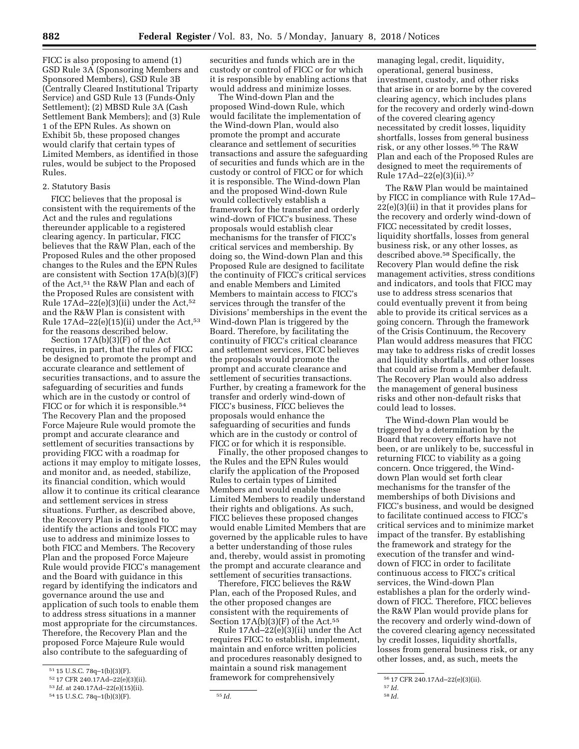FICC is also proposing to amend (1) GSD Rule 3A (Sponsoring Members and Sponsored Members), GSD Rule 3B (Centrally Cleared Institutional Triparty Service) and GSD Rule 13 (Funds-Only Settlement); (2) MBSD Rule 3A (Cash Settlement Bank Members); and (3) Rule 1 of the EPN Rules. As shown on Exhibit 5b, these proposed changes would clarify that certain types of Limited Members, as identified in those rules, would be subject to the Proposed Rules.

### 2. Statutory Basis

FICC believes that the proposal is consistent with the requirements of the Act and the rules and regulations thereunder applicable to a registered clearing agency. In particular, FICC believes that the R&W Plan, each of the Proposed Rules and the other proposed changes to the Rules and the EPN Rules are consistent with Section 17A(b)(3)(F) of the Act,51 the R&W Plan and each of the Proposed Rules are consistent with Rule  $17\text{Ad}-22(e)(3)(ii)$  under the Act,<sup>52</sup> and the R&W Plan is consistent with Rule  $17\text{Ad}-22$ (e)(15)(ii) under the Act,<sup>53</sup> for the reasons described below.

Section 17A(b)(3)(F) of the Act requires, in part, that the rules of FICC be designed to promote the prompt and accurate clearance and settlement of securities transactions, and to assure the safeguarding of securities and funds which are in the custody or control of FICC or for which it is responsible.<sup>54</sup> The Recovery Plan and the proposed Force Majeure Rule would promote the prompt and accurate clearance and settlement of securities transactions by providing FICC with a roadmap for actions it may employ to mitigate losses, and monitor and, as needed, stabilize, its financial condition, which would allow it to continue its critical clearance and settlement services in stress situations. Further, as described above, the Recovery Plan is designed to identify the actions and tools FICC may use to address and minimize losses to both FICC and Members. The Recovery Plan and the proposed Force Majeure Rule would provide FICC's management and the Board with guidance in this regard by identifying the indicators and governance around the use and application of such tools to enable them to address stress situations in a manner most appropriate for the circumstances. Therefore, the Recovery Plan and the proposed Force Majeure Rule would also contribute to the safeguarding of

securities and funds which are in the custody or control of FICC or for which it is responsible by enabling actions that would address and minimize losses.

The Wind-down Plan and the proposed Wind-down Rule, which would facilitate the implementation of the Wind-down Plan, would also promote the prompt and accurate clearance and settlement of securities transactions and assure the safeguarding of securities and funds which are in the custody or control of FICC or for which it is responsible. The Wind-down Plan and the proposed Wind-down Rule would collectively establish a framework for the transfer and orderly wind-down of FICC's business. These proposals would establish clear mechanisms for the transfer of FICC's critical services and membership. By doing so, the Wind-down Plan and this Proposed Rule are designed to facilitate the continuity of FICC's critical services and enable Members and Limited Members to maintain access to FICC's services through the transfer of the Divisions' memberships in the event the Wind-down Plan is triggered by the Board. Therefore, by facilitating the continuity of FICC's critical clearance and settlement services, FICC believes the proposals would promote the prompt and accurate clearance and settlement of securities transactions. Further, by creating a framework for the transfer and orderly wind-down of FICC's business, FICC believes the proposals would enhance the safeguarding of securities and funds which are in the custody or control of FICC or for which it is responsible.

Finally, the other proposed changes to the Rules and the EPN Rules would clarify the application of the Proposed Rules to certain types of Limited Members and would enable these Limited Members to readily understand their rights and obligations. As such, FICC believes these proposed changes would enable Limited Members that are governed by the applicable rules to have a better understanding of those rules and, thereby, would assist in promoting the prompt and accurate clearance and settlement of securities transactions.

Therefore, FICC believes the R&W Plan, each of the Proposed Rules, and the other proposed changes are consistent with the requirements of Section  $17A(b)(3)(F)$  of the Act.<sup>55</sup>

Rule 17Ad–22(e)(3)(ii) under the Act requires FICC to establish, implement, maintain and enforce written policies and procedures reasonably designed to maintain a sound risk management framework for comprehensively

managing legal, credit, liquidity, operational, general business, investment, custody, and other risks that arise in or are borne by the covered clearing agency, which includes plans for the recovery and orderly wind-down of the covered clearing agency necessitated by credit losses, liquidity shortfalls, losses from general business risk, or any other losses.56 The R&W Plan and each of the Proposed Rules are designed to meet the requirements of Rule 17Ad–22(e)(3)(ii).57

The R&W Plan would be maintained by FICC in compliance with Rule 17Ad– 22(e)(3)(ii) in that it provides plans for the recovery and orderly wind-down of FICC necessitated by credit losses, liquidity shortfalls, losses from general business risk, or any other losses, as described above.58 Specifically, the Recovery Plan would define the risk management activities, stress conditions and indicators, and tools that FICC may use to address stress scenarios that could eventually prevent it from being able to provide its critical services as a going concern. Through the framework of the Crisis Continuum, the Recovery Plan would address measures that FICC may take to address risks of credit losses and liquidity shortfalls, and other losses that could arise from a Member default. The Recovery Plan would also address the management of general business risks and other non-default risks that could lead to losses.

The Wind-down Plan would be triggered by a determination by the Board that recovery efforts have not been, or are unlikely to be, successful in returning FICC to viability as a going concern. Once triggered, the Winddown Plan would set forth clear mechanisms for the transfer of the memberships of both Divisions and FICC's business, and would be designed to facilitate continued access to FICC's critical services and to minimize market impact of the transfer. By establishing the framework and strategy for the execution of the transfer and winddown of FICC in order to facilitate continuous access to FICC's critical services, the Wind-down Plan establishes a plan for the orderly winddown of FICC. Therefore, FICC believes the R&W Plan would provide plans for the recovery and orderly wind-down of the covered clearing agency necessitated by credit losses, liquidity shortfalls, losses from general business risk, or any other losses, and, as such, meets the

<sup>51</sup> 15 U.S.C. 78q–1(b)(3)(F).

<sup>52</sup> 17 CFR 240.17Ad–22(e)(3)(ii).

<sup>53</sup> *Id.* at 240.17Ad–22(e)(15)(ii).

<sup>54</sup> 15 U.S.C. 78q–1(b)(3)(F). 55 *Id.* 

<sup>56</sup> 17 CFR 240.17Ad–22(e)(3)(ii).

<sup>57</sup> *Id.*  58 *Id.*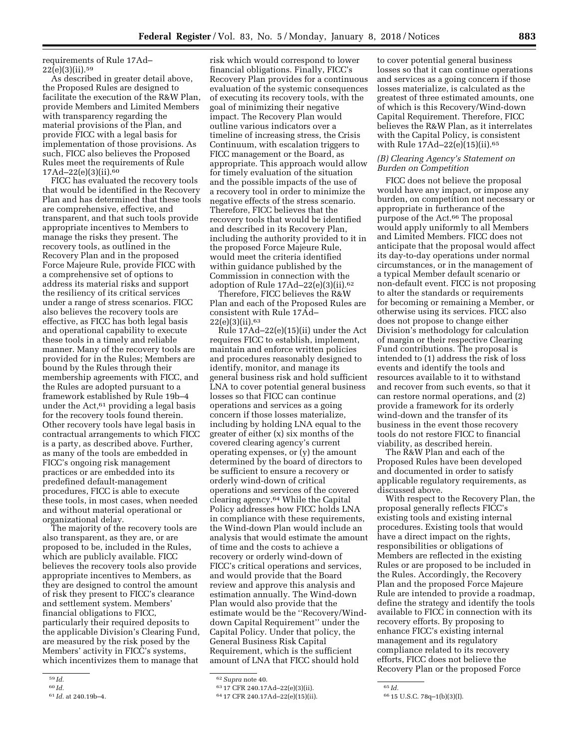requirements of Rule 17Ad–  $22(e)(3)(ii).$ <sup>59</sup>

As described in greater detail above, the Proposed Rules are designed to facilitate the execution of the R&W Plan, provide Members and Limited Members with transparency regarding the material provisions of the Plan, and provide FICC with a legal basis for implementation of those provisions. As such, FICC also believes the Proposed Rules meet the requirements of Rule 17Ad–22(e)(3)(ii).60

FICC has evaluated the recovery tools that would be identified in the Recovery Plan and has determined that these tools are comprehensive, effective, and transparent, and that such tools provide appropriate incentives to Members to manage the risks they present. The recovery tools, as outlined in the Recovery Plan and in the proposed Force Majeure Rule, provide FICC with a comprehensive set of options to address its material risks and support the resiliency of its critical services under a range of stress scenarios. FICC also believes the recovery tools are effective, as FICC has both legal basis and operational capability to execute these tools in a timely and reliable manner. Many of the recovery tools are provided for in the Rules; Members are bound by the Rules through their membership agreements with FICC, and the Rules are adopted pursuant to a framework established by Rule 19b–4 under the Act,61 providing a legal basis for the recovery tools found therein. Other recovery tools have legal basis in contractual arrangements to which FICC is a party, as described above. Further, as many of the tools are embedded in FICC's ongoing risk management practices or are embedded into its predefined default-management procedures, FICC is able to execute these tools, in most cases, when needed and without material operational or organizational delay.

The majority of the recovery tools are also transparent, as they are, or are proposed to be, included in the Rules, which are publicly available. FICC believes the recovery tools also provide appropriate incentives to Members, as they are designed to control the amount of risk they present to FICC's clearance and settlement system. Members' financial obligations to FICC, particularly their required deposits to the applicable Division's Clearing Fund, are measured by the risk posed by the Members' activity in FICC's systems, which incentivizes them to manage that

risk which would correspond to lower financial obligations. Finally, FICC's Recovery Plan provides for a continuous evaluation of the systemic consequences of executing its recovery tools, with the goal of minimizing their negative impact. The Recovery Plan would outline various indicators over a timeline of increasing stress, the Crisis Continuum, with escalation triggers to FICC management or the Board, as appropriate. This approach would allow for timely evaluation of the situation and the possible impacts of the use of a recovery tool in order to minimize the negative effects of the stress scenario. Therefore, FICC believes that the recovery tools that would be identified and described in its Recovery Plan, including the authority provided to it in the proposed Force Majeure Rule, would meet the criteria identified within guidance published by the Commission in connection with the adoption of Rule 17Ad–22(e)(3)(ii).62

Therefore, FICC believes the R&W Plan and each of the Proposed Rules are consistent with Rule 17Ad– 22(e)(3)(ii).63

Rule 17Ad–22(e)(15)(ii) under the Act requires FICC to establish, implement, maintain and enforce written policies and procedures reasonably designed to identify, monitor, and manage its general business risk and hold sufficient LNA to cover potential general business losses so that FICC can continue operations and services as a going concern if those losses materialize, including by holding LNA equal to the greater of either (x) six months of the covered clearing agency's current operating expenses, or (y) the amount determined by the board of directors to be sufficient to ensure a recovery or orderly wind-down of critical operations and services of the covered clearing agency.64 While the Capital Policy addresses how FICC holds LNA in compliance with these requirements, the Wind-down Plan would include an analysis that would estimate the amount of time and the costs to achieve a recovery or orderly wind-down of FICC's critical operations and services, and would provide that the Board review and approve this analysis and estimation annually. The Wind-down Plan would also provide that the estimate would be the ''Recovery/Winddown Capital Requirement'' under the Capital Policy. Under that policy, the General Business Risk Capital Requirement, which is the sufficient amount of LNA that FICC should hold

to cover potential general business losses so that it can continue operations and services as a going concern if those losses materialize, is calculated as the greatest of three estimated amounts, one of which is this Recovery/Wind-down Capital Requirement. Therefore, FICC believes the R&W Plan, as it interrelates with the Capital Policy, is consistent with Rule 17Ad–22(e)(15)(ii).65

#### *(B) Clearing Agency's Statement on Burden on Competition*

FICC does not believe the proposal would have any impact, or impose any burden, on competition not necessary or appropriate in furtherance of the purpose of the Act.<sup>66</sup> The proposal would apply uniformly to all Members and Limited Members. FICC does not anticipate that the proposal would affect its day-to-day operations under normal circumstances, or in the management of a typical Member default scenario or non-default event. FICC is not proposing to alter the standards or requirements for becoming or remaining a Member, or otherwise using its services. FICC also does not propose to change either Division's methodology for calculation of margin or their respective Clearing Fund contributions. The proposal is intended to (1) address the risk of loss events and identify the tools and resources available to it to withstand and recover from such events, so that it can restore normal operations, and (2) provide a framework for its orderly wind-down and the transfer of its business in the event those recovery tools do not restore FICC to financial viability, as described herein.

The R&W Plan and each of the Proposed Rules have been developed and documented in order to satisfy applicable regulatory requirements, as discussed above.

With respect to the Recovery Plan, the proposal generally reflects FICC's existing tools and existing internal procedures. Existing tools that would have a direct impact on the rights, responsibilities or obligations of Members are reflected in the existing Rules or are proposed to be included in the Rules. Accordingly, the Recovery Plan and the proposed Force Majeure Rule are intended to provide a roadmap, define the strategy and identify the tools available to FICC in connection with its recovery efforts. By proposing to enhance FICC's existing internal management and its regulatory compliance related to its recovery efforts, FICC does not believe the Recovery Plan or the proposed Force

<sup>59</sup> *Id.* 

<sup>60</sup> *Id.* 

<sup>61</sup> *Id.* at 240.19b–4.

<sup>62</sup>*Supra* note 40.

<sup>63</sup> 17 CFR 240.17Ad–22(e)(3)(ii).

<sup>64</sup> 17 CFR 240.17Ad–22(e)(15)(ii).

<sup>65</sup> *Id.* 

<sup>66</sup> 15 U.S.C. 78q–1(b)(3)(I).